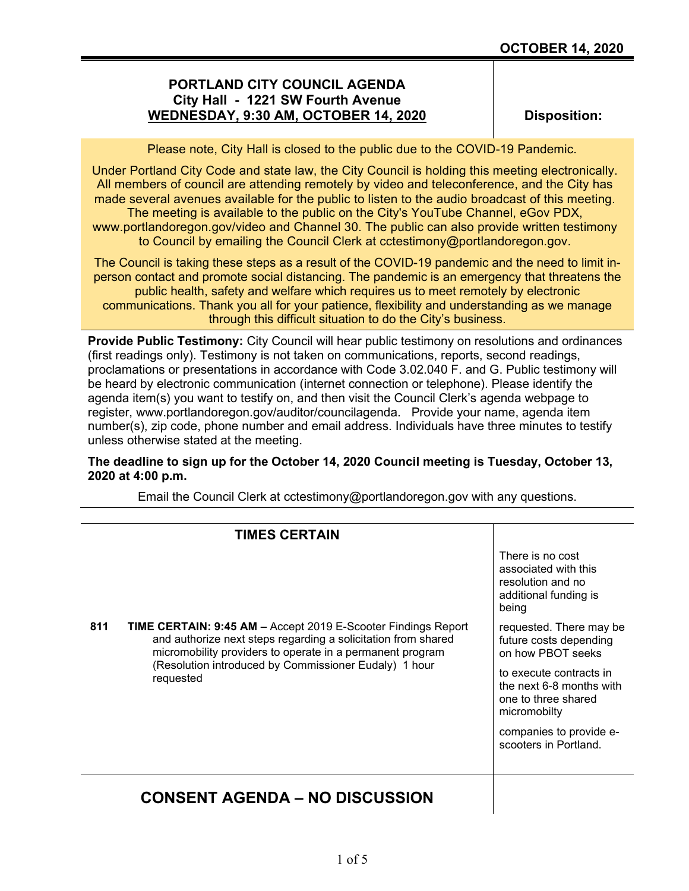## **PORTLAND CITY COUNCIL AGENDA City Hall - 1221 SW Fourth Avenue WEDNESDAY, 9:30 AM, OCTOBER 14, 2020**

**Disposition:**

Please note, City Hall is closed to the public due to the COVID-19 Pandemic.

Under Portland City Code and state law, the City Council is holding this meeting electronically. All members of council are attending remotely by video and teleconference, and the City has made several avenues available for the public to listen to the audio broadcast of this meeting. The meeting is available to the public on the City's YouTube Channel, eGov PDX,

www.portlandoregon.gov/video and Channel 30. The public can also provide written testimony to Council by emailing the Council Clerk at cctestimony@portlandoregon.gov.

The Council is taking these steps as a result of the COVID-19 pandemic and the need to limit inperson contact and promote social distancing. The pandemic is an emergency that threatens the public health, safety and welfare which requires us to meet remotely by electronic communications. Thank you all for your patience, flexibility and understanding as we manage through this difficult situation to do the City's business.

**Provide Public Testimony:** City Council will hear public testimony on resolutions and ordinances (first readings only). Testimony is not taken on communications, reports, second readings, proclamations or presentations in accordance with Code 3.02.040 F. and G. Public testimony will be heard by electronic communication (internet connection or telephone). Please identify the agenda item(s) you want to testify on, and then visit the Council Clerk's agenda webpage to register, www.portlandoregon.gov/auditor/councilagenda. Provide your name, agenda item number(s), zip code, phone number and email address. Individuals have three minutes to testify unless otherwise stated at the meeting.

### **The deadline to sign up for the October 14, 2020 Council meeting is Tuesday, October 13, 2020 at 4:00 p.m.**

Email the Council Clerk at cctestimony@portlandoregon.gov with any questions.

|     | <b>TIMES CERTAIN</b>                                                                                                                                                                                                                                                     |                                                                                                                                                                                                                          |
|-----|--------------------------------------------------------------------------------------------------------------------------------------------------------------------------------------------------------------------------------------------------------------------------|--------------------------------------------------------------------------------------------------------------------------------------------------------------------------------------------------------------------------|
|     |                                                                                                                                                                                                                                                                          | There is no cost<br>associated with this<br>resolution and no<br>additional funding is<br>being                                                                                                                          |
| 811 | <b>TIME CERTAIN: 9:45 AM – Accept 2019 E-Scooter Findings Report</b><br>and authorize next steps regarding a solicitation from shared<br>micromobility providers to operate in a permanent program<br>(Resolution introduced by Commissioner Eudaly) 1 hour<br>requested | requested. There may be<br>future costs depending<br>on how PBOT seeks<br>to execute contracts in<br>the next 6-8 months with<br>one to three shared<br>micromobilty<br>companies to provide e-<br>scooters in Portland. |
|     | <b>CONSENT AGENDA – NO DISCUSSION</b>                                                                                                                                                                                                                                    |                                                                                                                                                                                                                          |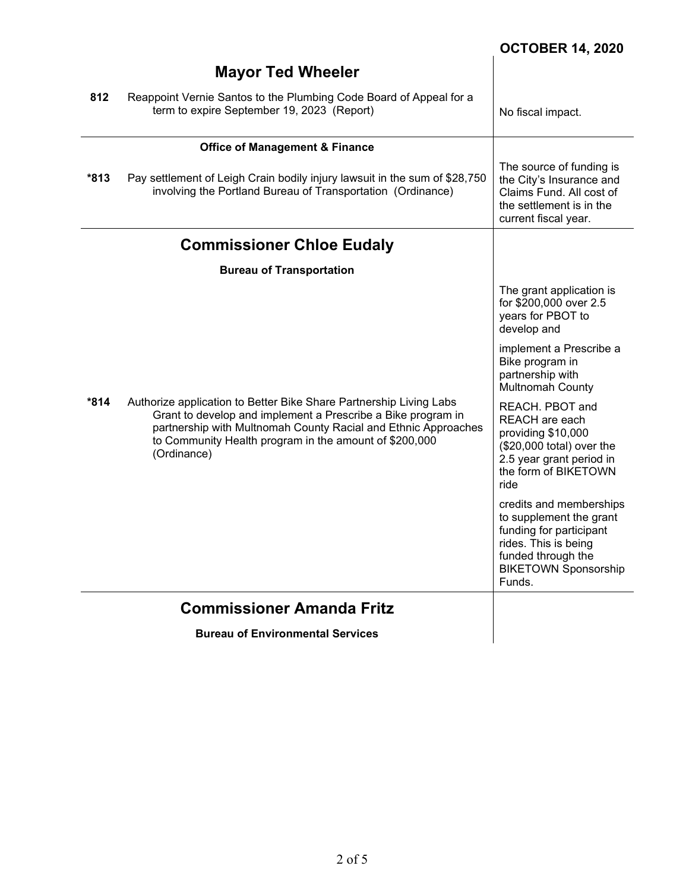# **OCTOBER 14, 2020**

|        | <b>Mayor Ted Wheeler</b>                                                                                                                                                                                                                                                      |                                                                                                                                                                      |
|--------|-------------------------------------------------------------------------------------------------------------------------------------------------------------------------------------------------------------------------------------------------------------------------------|----------------------------------------------------------------------------------------------------------------------------------------------------------------------|
| 812    | Reappoint Vernie Santos to the Plumbing Code Board of Appeal for a<br>term to expire September 19, 2023 (Report)                                                                                                                                                              | No fiscal impact.                                                                                                                                                    |
|        | <b>Office of Management &amp; Finance</b>                                                                                                                                                                                                                                     |                                                                                                                                                                      |
| $*813$ | Pay settlement of Leigh Crain bodily injury lawsuit in the sum of \$28,750<br>involving the Portland Bureau of Transportation (Ordinance)                                                                                                                                     | The source of funding is<br>the City's Insurance and<br>Claims Fund. All cost of<br>the settlement is in the<br>current fiscal year.                                 |
|        | <b>Commissioner Chloe Eudaly</b>                                                                                                                                                                                                                                              |                                                                                                                                                                      |
|        | <b>Bureau of Transportation</b>                                                                                                                                                                                                                                               |                                                                                                                                                                      |
| *814   | Authorize application to Better Bike Share Partnership Living Labs<br>Grant to develop and implement a Prescribe a Bike program in<br>partnership with Multnomah County Racial and Ethnic Approaches<br>to Community Health program in the amount of \$200,000<br>(Ordinance) | The grant application is<br>for \$200,000 over 2.5<br>years for PBOT to<br>develop and                                                                               |
|        |                                                                                                                                                                                                                                                                               | implement a Prescribe a<br>Bike program in<br>partnership with<br>Multnomah County                                                                                   |
|        |                                                                                                                                                                                                                                                                               | REACH. PBOT and<br>REACH are each<br>providing \$10,000<br>(\$20,000 total) over the<br>2.5 year grant period in<br>the form of BIKETOWN<br>ride                     |
|        |                                                                                                                                                                                                                                                                               | credits and memberships<br>to supplement the grant<br>funding for participant<br>rides. This is being<br>funded through the<br><b>BIKETOWN Sponsorship</b><br>Funds. |
|        | <b>Commissioner Amanda Fritz</b>                                                                                                                                                                                                                                              |                                                                                                                                                                      |
|        | <b>Bureau of Environmental Services</b>                                                                                                                                                                                                                                       |                                                                                                                                                                      |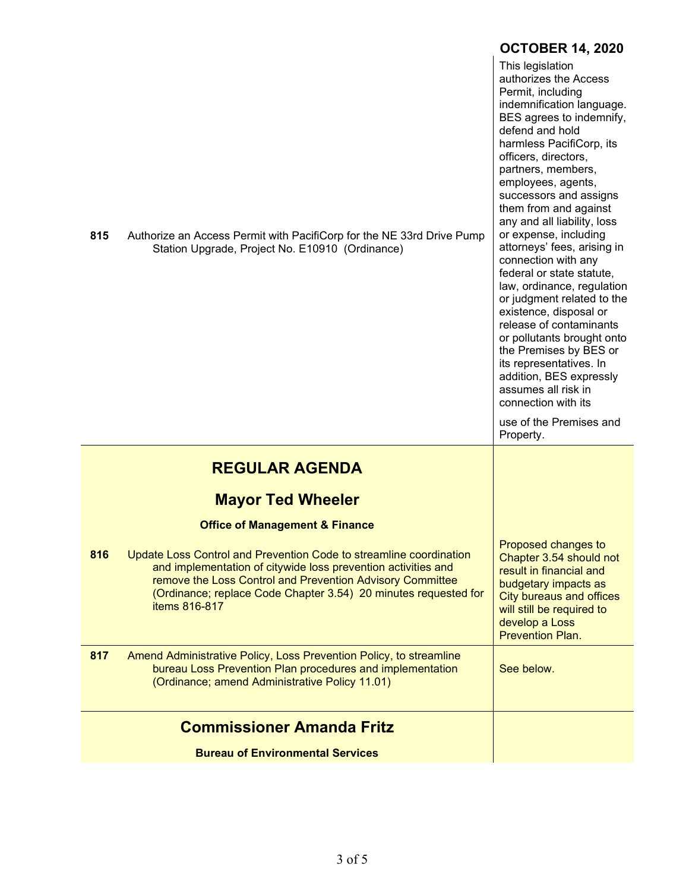|     |                                                                                                                                                                                                                                                                                      | <b>OCTOBER 14, 2020</b>                                                                                                                                                                                                                                                                                                                                                                                                                                                                                                                                                                                                                                                                                                                                       |
|-----|--------------------------------------------------------------------------------------------------------------------------------------------------------------------------------------------------------------------------------------------------------------------------------------|---------------------------------------------------------------------------------------------------------------------------------------------------------------------------------------------------------------------------------------------------------------------------------------------------------------------------------------------------------------------------------------------------------------------------------------------------------------------------------------------------------------------------------------------------------------------------------------------------------------------------------------------------------------------------------------------------------------------------------------------------------------|
| 815 | Authorize an Access Permit with PacifiCorp for the NE 33rd Drive Pump<br>Station Upgrade, Project No. E10910 (Ordinance)                                                                                                                                                             | This legislation<br>authorizes the Access<br>Permit, including<br>indemnification language.<br>BES agrees to indemnify,<br>defend and hold<br>harmless PacifiCorp, its<br>officers, directors,<br>partners, members,<br>employees, agents,<br>successors and assigns<br>them from and against<br>any and all liability, loss<br>or expense, including<br>attorneys' fees, arising in<br>connection with any<br>federal or state statute,<br>law, ordinance, regulation<br>or judgment related to the<br>existence, disposal or<br>release of contaminants<br>or pollutants brought onto<br>the Premises by BES or<br>its representatives. In<br>addition, BES expressly<br>assumes all risk in<br>connection with its<br>use of the Premises and<br>Property. |
|     | <b>REGULAR AGENDA</b>                                                                                                                                                                                                                                                                |                                                                                                                                                                                                                                                                                                                                                                                                                                                                                                                                                                                                                                                                                                                                                               |
|     |                                                                                                                                                                                                                                                                                      |                                                                                                                                                                                                                                                                                                                                                                                                                                                                                                                                                                                                                                                                                                                                                               |
|     | <b>Mayor Ted Wheeler</b><br><b>Office of Management &amp; Finance</b>                                                                                                                                                                                                                |                                                                                                                                                                                                                                                                                                                                                                                                                                                                                                                                                                                                                                                                                                                                                               |
| 816 | Update Loss Control and Prevention Code to streamline coordination<br>and implementation of citywide loss prevention activities and<br>remove the Loss Control and Prevention Advisory Committee<br>(Ordinance; replace Code Chapter 3.54) 20 minutes requested for<br>items 816-817 | Proposed changes to<br>Chapter 3.54 should not<br>result in financial and<br>budgetary impacts as<br><b>City bureaus and offices</b><br>will still be required to<br>develop a Loss<br><b>Prevention Plan.</b>                                                                                                                                                                                                                                                                                                                                                                                                                                                                                                                                                |
| 817 | Amend Administrative Policy, Loss Prevention Policy, to streamline<br>bureau Loss Prevention Plan procedures and implementation<br>(Ordinance; amend Administrative Policy 11.01)                                                                                                    | See below.                                                                                                                                                                                                                                                                                                                                                                                                                                                                                                                                                                                                                                                                                                                                                    |
|     | <b>Commissioner Amanda Fritz</b>                                                                                                                                                                                                                                                     |                                                                                                                                                                                                                                                                                                                                                                                                                                                                                                                                                                                                                                                                                                                                                               |
|     | <b>Bureau of Environmental Services</b>                                                                                                                                                                                                                                              |                                                                                                                                                                                                                                                                                                                                                                                                                                                                                                                                                                                                                                                                                                                                                               |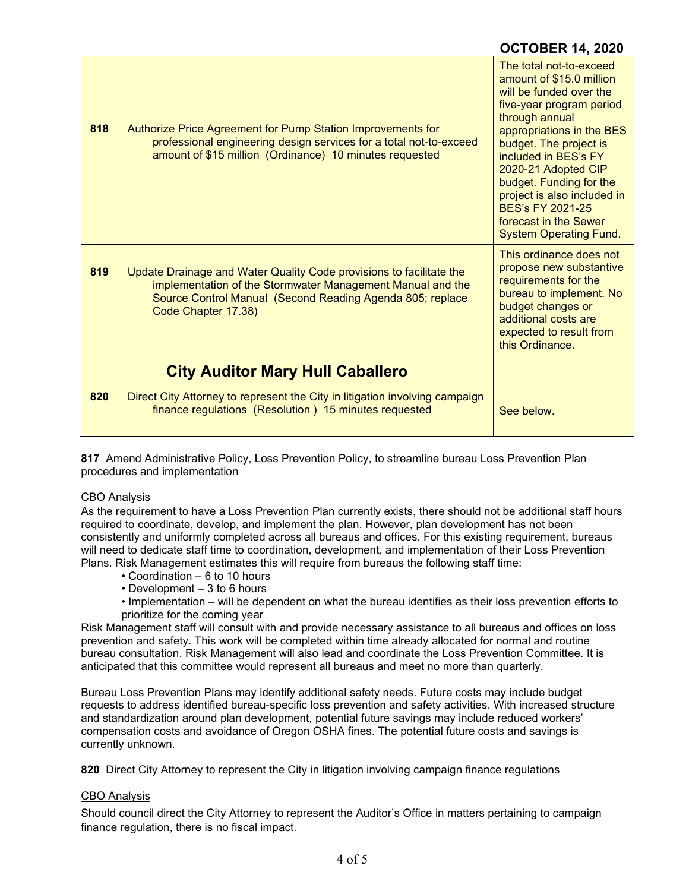|     |                                                                                                                                                                                                                       | UVIVULIN IT, LVLV                                                                                                                                                                                                                                                                                                                                                          |
|-----|-----------------------------------------------------------------------------------------------------------------------------------------------------------------------------------------------------------------------|----------------------------------------------------------------------------------------------------------------------------------------------------------------------------------------------------------------------------------------------------------------------------------------------------------------------------------------------------------------------------|
| 818 | Authorize Price Agreement for Pump Station Improvements for<br>professional engineering design services for a total not-to-exceed<br>amount of \$15 million (Ordinance) 10 minutes requested                          | The total not-to-exceed<br>amount of \$15.0 million<br>will be funded over the<br>five-year program period<br>through annual<br>appropriations in the BES<br>budget. The project is<br>included in BES's FY<br>2020-21 Adopted CIP<br>budget. Funding for the<br>project is also included in<br>BES's FY 2021-25<br>forecast in the Sewer<br><b>System Operating Fund.</b> |
| 819 | Update Drainage and Water Quality Code provisions to facilitate the<br>implementation of the Stormwater Management Manual and the<br>Source Control Manual (Second Reading Agenda 805; replace<br>Code Chapter 17.38) | This ordinance does not<br>propose new substantive<br>requirements for the<br>bureau to implement. No<br>budget changes or<br>additional costs are<br>expected to result from<br>this Ordinance.                                                                                                                                                                           |
|     | <b>City Auditor Mary Hull Caballero</b>                                                                                                                                                                               |                                                                                                                                                                                                                                                                                                                                                                            |
| 820 | Direct City Attorney to represent the City in litigation involving campaign<br>finance regulations (Resolution) 15 minutes requested                                                                                  | See below.                                                                                                                                                                                                                                                                                                                                                                 |

**OCTOBER 14, 2020**

**817** Amend Administrative Policy, Loss Prevention Policy, to streamline bureau Loss Prevention Plan procedures and implementation

#### CBO Analysis

As the requirement to have a Loss Prevention Plan currently exists, there should not be additional staff hours required to coordinate, develop, and implement the plan. However, plan development has not been consistently and uniformly completed across all bureaus and offices. For this existing requirement, bureaus will need to dedicate staff time to coordination, development, and implementation of their Loss Prevention Plans. Risk Management estimates this will require from bureaus the following staff time:

- Coordination 6 to 10 hours
- Development 3 to 6 hours
- Implementation will be dependent on what the bureau identifies as their loss prevention efforts to prioritize for the coming year

Risk Management staff will consult with and provide necessary assistance to all bureaus and offices on loss prevention and safety. This work will be completed within time already allocated for normal and routine bureau consultation. Risk Management will also lead and coordinate the Loss Prevention Committee. It is anticipated that this committee would represent all bureaus and meet no more than quarterly.

Bureau Loss Prevention Plans may identify additional safety needs. Future costs may include budget requests to address identified bureau-specific loss prevention and safety activities. With increased structure and standardization around plan development, potential future savings may include reduced workers' compensation costs and avoidance of Oregon OSHA fines. The potential future costs and savings is currently unknown.

**820** Direct City Attorney to represent the City in litigation involving campaign finance regulations

#### CBO Analysis

Should council direct the City Attorney to represent the Auditor's Office in matters pertaining to campaign finance regulation, there is no fiscal impact.